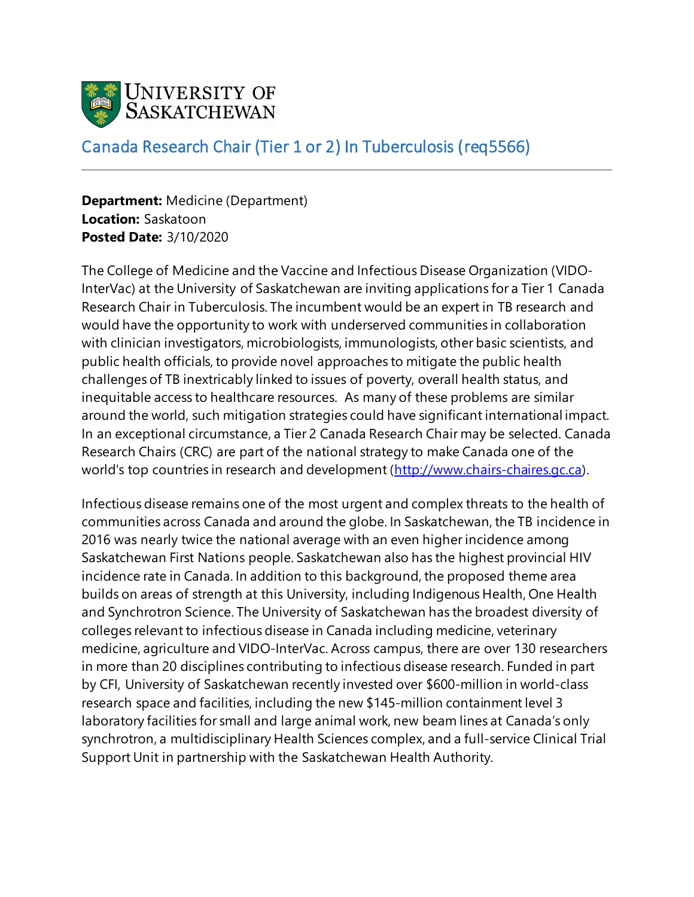

## Canada Research Chair (Tier 1 or 2) In Tuberculosis (req5566)

**Department:** Medicine (Department) **Location:** Saskatoon **Posted Date:** 3/10/2020

The College of Medicine and the Vaccine and Infectious Disease Organization (VIDO-InterVac) at the University of Saskatchewan are inviting applications for a Tier 1 Canada Research Chair in Tuberculosis. The incumbent would be an expert in TB research and would have the opportunity to work with underserved communities in collaboration with clinician investigators, microbiologists, immunologists, other basic scientists, and public health officials, to provide novel approaches to mitigate the public health challenges of TB inextricably linked to issues of poverty, overall health status, and inequitable access to healthcare resources. As many of these problems are similar around the world, such mitigation strategies could have significant international impact. In an exceptional circumstance, a Tier 2 Canada Research Chair may be selected. Canada Research Chairs (CRC) are part of the national strategy to make Canada one of the world's top countries in research and development [\(http://www.chairs-chaires.gc.ca\)](http://www.chairs-chaires.gc.ca/).

Infectious disease remains one of the most urgent and complex threats to the health of communities across Canada and around the globe. In Saskatchewan, the TB incidence in 2016 was nearly twice the national average with an even higher incidence among Saskatchewan First Nations people. Saskatchewan also has the highest provincial HIV incidence rate in Canada. In addition to this background, the proposed theme area builds on areas of strength at this University, including Indigenous Health, One Health and Synchrotron Science. The University of Saskatchewan has the broadest diversity of colleges relevant to infectious disease in Canada including medicine, veterinary medicine, agriculture and VIDO-InterVac. Across campus, there are over 130 researchers in more than 20 disciplines contributing to infectious disease research. Funded in part by CFI, University of Saskatchewan recently invested over \$600-million in world-class research space and facilities, including the new \$145-million containment level 3 laboratory facilities for small and large animal work, new beam lines at Canada's only synchrotron, a multidisciplinary Health Sciences complex, and a full-service Clinical Trial Support Unit in partnership with the Saskatchewan Health Authority.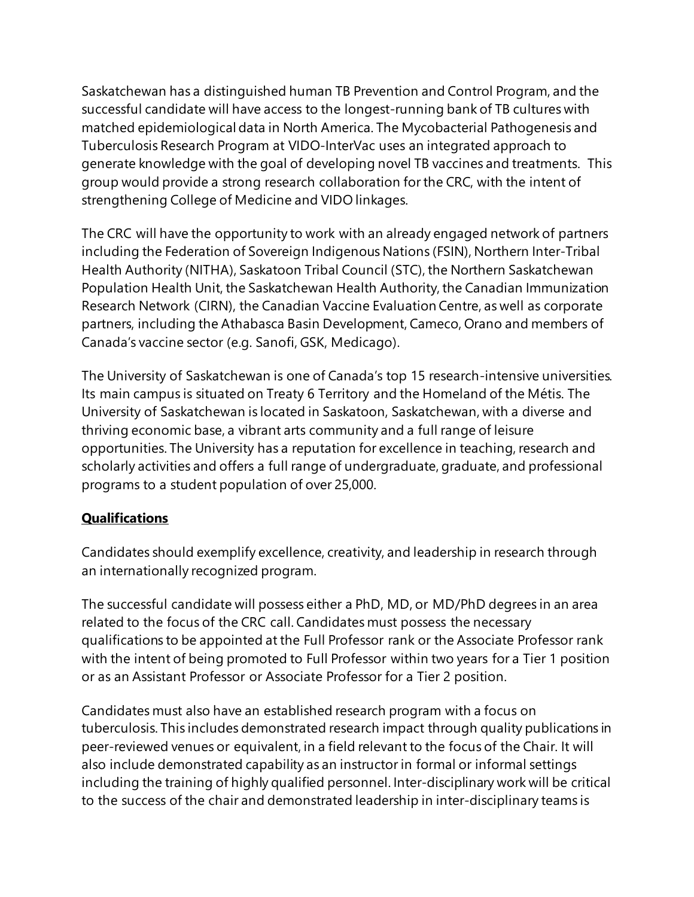Saskatchewan has a distinguished human TB Prevention and Control Program, and the successful candidate will have access to the longest-running bank of TB cultures with matched epidemiological data in North America. The Mycobacterial Pathogenesis and Tuberculosis Research Program at VIDO-InterVac uses an integrated approach to generate knowledge with the goal of developing novel TB vaccines and treatments. This group would provide a strong research collaboration for the CRC, with the intent of strengthening College of Medicine and VIDO linkages.

The CRC will have the opportunity to work with an already engaged network of partners including the Federation of Sovereign Indigenous Nations (FSIN), Northern Inter-Tribal Health Authority (NITHA), Saskatoon Tribal Council (STC), the Northern Saskatchewan Population Health Unit, the Saskatchewan Health Authority, the Canadian Immunization Research Network (CIRN), the Canadian Vaccine Evaluation Centre, as well as corporate partners, including the Athabasca Basin Development, Cameco, Orano and members of Canada's vaccine sector (e.g. Sanofi, GSK, Medicago).

The University of Saskatchewan is one of Canada's top 15 research-intensive universities. Its main campus is situated on Treaty 6 Territory and the Homeland of the Métis. The University of Saskatchewan is located in Saskatoon, Saskatchewan, with a diverse and thriving economic base, a vibrant arts community and a full range of leisure opportunities. The University has a reputation for excellence in teaching, research and scholarly activities and offers a full range of undergraduate, graduate, and professional programs to a student population of over 25,000.

## **Qualifications**

Candidates should exemplify excellence, creativity, and leadership in research through an internationally recognized program.

The successful candidate will possess either a PhD, MD, or MD/PhD degrees in an area related to the focus of the CRC call. Candidates must possess the necessary qualifications to be appointed at the Full Professor rank or the Associate Professor rank with the intent of being promoted to Full Professor within two years for a Tier 1 position or as an Assistant Professor or Associate Professor for a Tier 2 position.

Candidates must also have an established research program with a focus on tuberculosis. This includes demonstrated research impact through quality publications in peer-reviewed venues or equivalent, in a field relevant to the focus of the Chair. It will also include demonstrated capability as an instructor in formal or informal settings including the training of highly qualified personnel. Inter-disciplinary work will be critical to the success of the chair and demonstrated leadership in inter-disciplinary teams is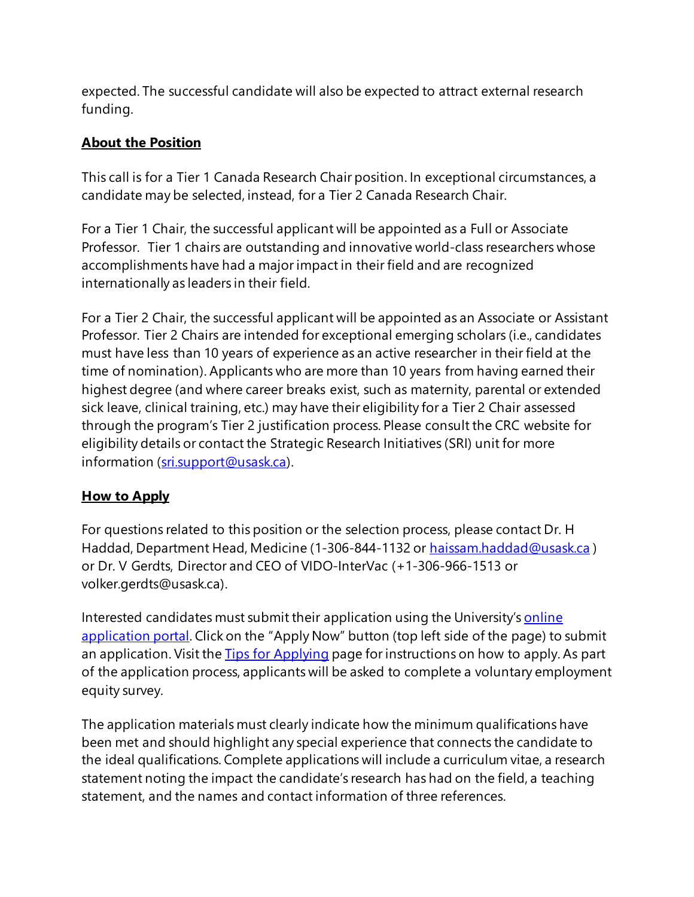expected. The successful candidate will also be expected to attract external research funding.

## **About the Position**

This call is for a Tier 1 Canada Research Chair position. In exceptional circumstances, a candidate may be selected, instead, for a Tier 2 Canada Research Chair.

For a Tier 1 Chair, the successful applicant will be appointed as a Full or Associate Professor. Tier 1 chairs are outstanding and innovative world-class researchers whose accomplishments have had a major impact in their field and are recognized internationally as leaders in their field.

For a Tier 2 Chair, the successful applicant will be appointed as an Associate or Assistant Professor. Tier 2 Chairs are intended for exceptional emerging scholars (i.e., candidates must have less than 10 years of experience as an active researcher in their field at the time of nomination). Applicants who are more than 10 years from having earned their highest degree (and where career breaks exist, such as maternity, parental or extended sick leave, clinical training, etc.) may have their eligibility for a Tier 2 Chair assessed through the program's Tier 2 justification process. Please consult the CRC website for eligibility details or contact the Strategic Research Initiatives (SRI) unit for more information [\(sri.support@usask.ca\)](mailto:sri.support@usask.ca).

## **How to Apply**

For questions related to this position or the selection process, please contact Dr. H Haddad, Department Head, Medicine (1-306-844-1132 or [haissam.haddad@usask.ca](mailto:haissam.haddad@usask.ca)) or Dr. V Gerdts, Director and CEO of VIDO-InterVac (+1-306-966-1513 or volker.gerdts@usask.ca).

Interested candidates must submit their application using the University's online [application portal](https://careers.usask.ca/). Click on the "Apply Now" button (top left side of the page) to submit an application. Visit the [Tips for Applying](https://careers.usask.ca/tips-for-applying.php) page for instructions on how to apply. As part of the application process, applicants will be asked to complete a voluntary employment equity survey.

The application materials must clearly indicate how the minimum qualifications have been met and should highlight any special experience that connects the candidate to the ideal qualifications. Complete applications will include a curriculum vitae, a research statement noting the impact the candidate's research has had on the field, a teaching statement, and the names and contact information of three references.